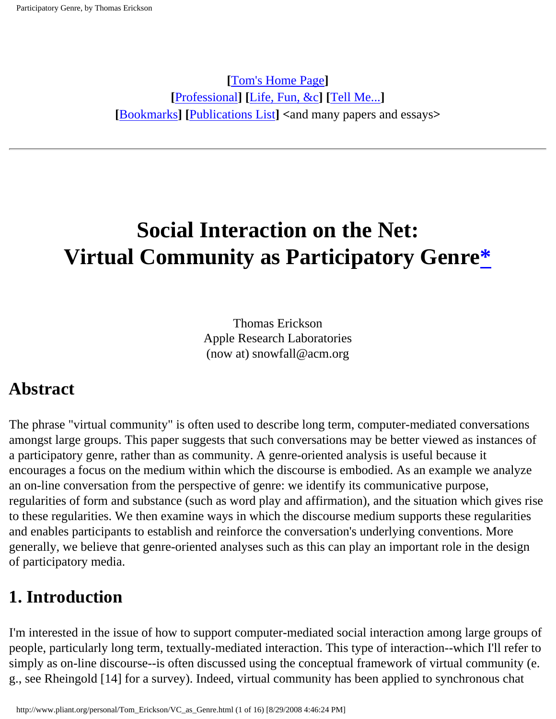**[**[Tom's Home Page](http://www.pliant.org/personal/Tom_Erickson/index.html)**] [**[Professional](http://www.pliant.org/personal/Tom_Erickson/professional.html)**] [**[Life, Fun, &c](http://www.pliant.org/personal/Tom_Erickson/fun.html)**] [**[Tell Me...](http://www.pliant.org/personal/Tom_Erickson/tellMe.html)**] [**[Bookmarks](http://www.pliant.org/personal/Tom_Erickson/TomsBookmarks.html)**] [**[Publications List](http://www.pliant.org/personal/Tom_Erickson/TomsPubs.html)**] <**and many papers and essays**>** 

# **Social Interaction on the Net: Virtual Community as Participatory Genre[\\*](#page-15-0)**

Thomas Erickson Apple Research Laboratories (now at) snowfall@acm.org

## **Abstract**

The phrase "virtual community" is often used to describe long term, computer-mediated conversations amongst large groups. This paper suggests that such conversations may be better viewed as instances of a participatory genre, rather than as community. A genre-oriented analysis is useful because it encourages a focus on the medium within which the discourse is embodied. As an example we analyze an on-line conversation from the perspective of genre: we identify its communicative purpose, regularities of form and substance (such as word play and affirmation), and the situation which gives rise to these regularities. We then examine ways in which the discourse medium supports these regularities and enables participants to establish and reinforce the conversation's underlying conventions. More generally, we believe that genre-oriented analyses such as this can play an important role in the design of participatory media.

# **1. Introduction**

I'm interested in the issue of how to support computer-mediated social interaction among large groups of people, particularly long term, textually-mediated interaction. This type of interaction--which I'll refer to simply as on-line discourse--is often discussed using the conceptual framework of virtual community (e. g., see Rheingold [14] for a survey). Indeed, virtual community has been applied to synchronous chat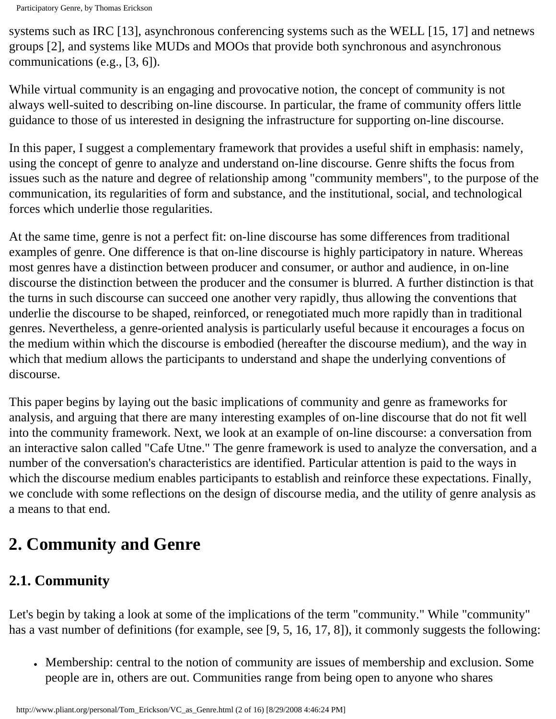systems such as IRC [13], asynchronous conferencing systems such as the WELL [15, 17] and netnews groups [2], and systems like MUDs and MOOs that provide both synchronous and asynchronous communications (e.g., [3, 6]).

While virtual community is an engaging and provocative notion, the concept of community is not always well-suited to describing on-line discourse. In particular, the frame of community offers little guidance to those of us interested in designing the infrastructure for supporting on-line discourse.

In this paper, I suggest a complementary framework that provides a useful shift in emphasis: namely, using the concept of genre to analyze and understand on-line discourse. Genre shifts the focus from issues such as the nature and degree of relationship among "community members", to the purpose of the communication, its regularities of form and substance, and the institutional, social, and technological forces which underlie those regularities.

At the same time, genre is not a perfect fit: on-line discourse has some differences from traditional examples of genre. One difference is that on-line discourse is highly participatory in nature. Whereas most genres have a distinction between producer and consumer, or author and audience, in on-line discourse the distinction between the producer and the consumer is blurred. A further distinction is that the turns in such discourse can succeed one another very rapidly, thus allowing the conventions that underlie the discourse to be shaped, reinforced, or renegotiated much more rapidly than in traditional genres. Nevertheless, a genre-oriented analysis is particularly useful because it encourages a focus on the medium within which the discourse is embodied (hereafter the discourse medium), and the way in which that medium allows the participants to understand and shape the underlying conventions of discourse.

This paper begins by laying out the basic implications of community and genre as frameworks for analysis, and arguing that there are many interesting examples of on-line discourse that do not fit well into the community framework. Next, we look at an example of on-line discourse: a conversation from an interactive salon called "Cafe Utne." The genre framework is used to analyze the conversation, and a number of the conversation's characteristics are identified. Particular attention is paid to the ways in which the discourse medium enables participants to establish and reinforce these expectations. Finally, we conclude with some reflections on the design of discourse media, and the utility of genre analysis as a means to that end.

# **2. Community and Genre**

## **2.1. Community**

Let's begin by taking a look at some of the implications of the term "community." While "community" has a vast number of definitions (for example, see [9, 5, 16, 17, 8]), it commonly suggests the following:

• Membership: central to the notion of community are issues of membership and exclusion. Some people are in, others are out. Communities range from being open to anyone who shares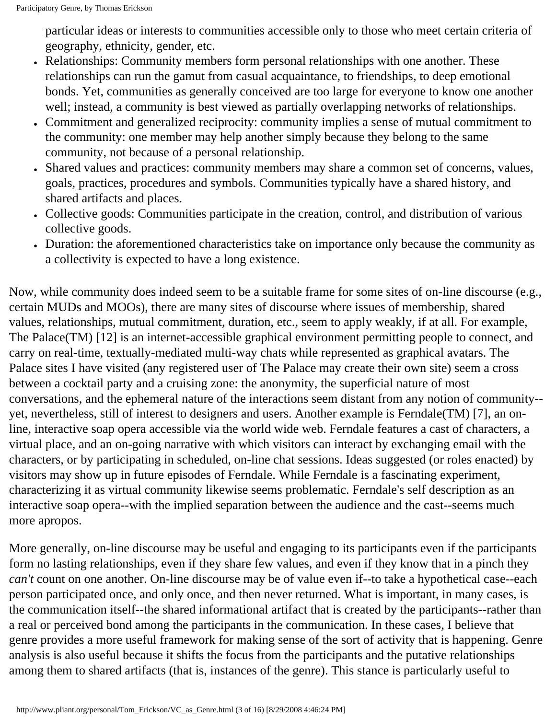particular ideas or interests to communities accessible only to those who meet certain criteria of geography, ethnicity, gender, etc.

- Relationships: Community members form personal relationships with one another. These relationships can run the gamut from casual acquaintance, to friendships, to deep emotional bonds. Yet, communities as generally conceived are too large for everyone to know one another well; instead, a community is best viewed as partially overlapping networks of relationships.
- Commitment and generalized reciprocity: community implies a sense of mutual commitment to the community: one member may help another simply because they belong to the same community, not because of a personal relationship.
- Shared values and practices: community members may share a common set of concerns, values, goals, practices, procedures and symbols. Communities typically have a shared history, and shared artifacts and places.
- Collective goods: Communities participate in the creation, control, and distribution of various collective goods.
- Duration: the aforementioned characteristics take on importance only because the community as a collectivity is expected to have a long existence.

Now, while community does indeed seem to be a suitable frame for some sites of on-line discourse (e.g., certain MUDs and MOOs), there are many sites of discourse where issues of membership, shared values, relationships, mutual commitment, duration, etc., seem to apply weakly, if at all. For example, The Palace(TM) [12] is an internet-accessible graphical environment permitting people to connect, and carry on real-time, textually-mediated multi-way chats while represented as graphical avatars. The Palace sites I have visited (any registered user of The Palace may create their own site) seem a cross between a cocktail party and a cruising zone: the anonymity, the superficial nature of most conversations, and the ephemeral nature of the interactions seem distant from any notion of community- yet, nevertheless, still of interest to designers and users. Another example is Ferndale(TM) [7], an online, interactive soap opera accessible via the world wide web. Ferndale features a cast of characters, a virtual place, and an on-going narrative with which visitors can interact by exchanging email with the characters, or by participating in scheduled, on-line chat sessions. Ideas suggested (or roles enacted) by visitors may show up in future episodes of Ferndale. While Ferndale is a fascinating experiment, characterizing it as virtual community likewise seems problematic. Ferndale's self description as an interactive soap opera--with the implied separation between the audience and the cast--seems much more apropos.

More generally, on-line discourse may be useful and engaging to its participants even if the participants form no lasting relationships, even if they share few values, and even if they know that in a pinch they *can't* count on one another. On-line discourse may be of value even if--to take a hypothetical case--each person participated once, and only once, and then never returned. What is important, in many cases, is the communication itself--the shared informational artifact that is created by the participants--rather than a real or perceived bond among the participants in the communication. In these cases, I believe that genre provides a more useful framework for making sense of the sort of activity that is happening. Genre analysis is also useful because it shifts the focus from the participants and the putative relationships among them to shared artifacts (that is, instances of the genre). This stance is particularly useful to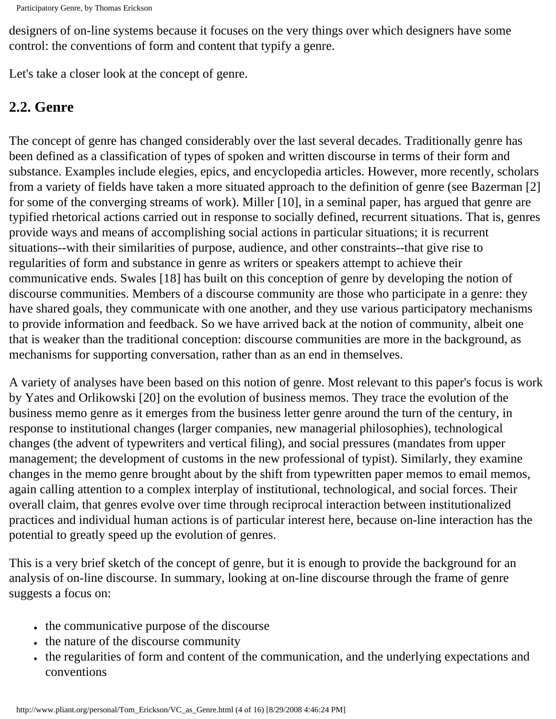designers of on-line systems because it focuses on the very things over which designers have some control: the conventions of form and content that typify a genre.

Let's take a closer look at the concept of genre.

## **2.2. Genre**

The concept of genre has changed considerably over the last several decades. Traditionally genre has been defined as a classification of types of spoken and written discourse in terms of their form and substance. Examples include elegies, epics, and encyclopedia articles. However, more recently, scholars from a variety of fields have taken a more situated approach to the definition of genre (see Bazerman [2] for some of the converging streams of work). Miller [10], in a seminal paper, has argued that genre are typified rhetorical actions carried out in response to socially defined, recurrent situations. That is, genres provide ways and means of accomplishing social actions in particular situations; it is recurrent situations--with their similarities of purpose, audience, and other constraints--that give rise to regularities of form and substance in genre as writers or speakers attempt to achieve their communicative ends. Swales [18] has built on this conception of genre by developing the notion of discourse communities. Members of a discourse community are those who participate in a genre: they have shared goals, they communicate with one another, and they use various participatory mechanisms to provide information and feedback. So we have arrived back at the notion of community, albeit one that is weaker than the traditional conception: discourse communities are more in the background, as mechanisms for supporting conversation, rather than as an end in themselves.

A variety of analyses have been based on this notion of genre. Most relevant to this paper's focus is work by Yates and Orlikowski [20] on the evolution of business memos. They trace the evolution of the business memo genre as it emerges from the business letter genre around the turn of the century, in response to institutional changes (larger companies, new managerial philosophies), technological changes (the advent of typewriters and vertical filing), and social pressures (mandates from upper management; the development of customs in the new professional of typist). Similarly, they examine changes in the memo genre brought about by the shift from typewritten paper memos to email memos, again calling attention to a complex interplay of institutional, technological, and social forces. Their overall claim, that genres evolve over time through reciprocal interaction between institutionalized practices and individual human actions is of particular interest here, because on-line interaction has the potential to greatly speed up the evolution of genres.

This is a very brief sketch of the concept of genre, but it is enough to provide the background for an analysis of on-line discourse. In summary, looking at on-line discourse through the frame of genre suggests a focus on:

- the communicative purpose of the discourse
- the nature of the discourse community
- the regularities of form and content of the communication, and the underlying expectations and conventions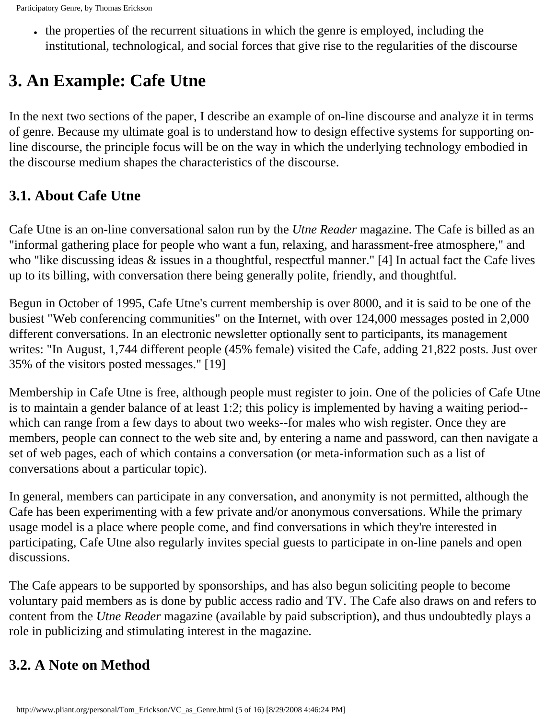• the properties of the recurrent situations in which the genre is employed, including the institutional, technological, and social forces that give rise to the regularities of the discourse

# **3. An Example: Cafe Utne**

In the next two sections of the paper, I describe an example of on-line discourse and analyze it in terms of genre. Because my ultimate goal is to understand how to design effective systems for supporting online discourse, the principle focus will be on the way in which the underlying technology embodied in the discourse medium shapes the characteristics of the discourse.

## **3.1. About Cafe Utne**

Cafe Utne is an on-line conversational salon run by the *Utne Reader* magazine. The Cafe is billed as an "informal gathering place for people who want a fun, relaxing, and harassment-free atmosphere," and who "like discussing ideas  $\&$  issues in a thoughtful, respectful manner." [4] In actual fact the Cafe lives up to its billing, with conversation there being generally polite, friendly, and thoughtful.

Begun in October of 1995, Cafe Utne's current membership is over 8000, and it is said to be one of the busiest "Web conferencing communities" on the Internet, with over 124,000 messages posted in 2,000 different conversations. In an electronic newsletter optionally sent to participants, its management writes: "In August, 1,744 different people (45% female) visited the Cafe, adding 21,822 posts. Just over 35% of the visitors posted messages." [19]

Membership in Cafe Utne is free, although people must register to join. One of the policies of Cafe Utne is to maintain a gender balance of at least 1:2; this policy is implemented by having a waiting period- which can range from a few days to about two weeks--for males who wish register. Once they are members, people can connect to the web site and, by entering a name and password, can then navigate a set of web pages, each of which contains a conversation (or meta-information such as a list of conversations about a particular topic).

In general, members can participate in any conversation, and anonymity is not permitted, although the Cafe has been experimenting with a few private and/or anonymous conversations. While the primary usage model is a place where people come, and find conversations in which they're interested in participating, Cafe Utne also regularly invites special guests to participate in on-line panels and open discussions.

The Cafe appears to be supported by sponsorships, and has also begun soliciting people to become voluntary paid members as is done by public access radio and TV. The Cafe also draws on and refers to content from the *Utne Reader* magazine (available by paid subscription), and thus undoubtedly plays a role in publicizing and stimulating interest in the magazine.

## **3.2. A Note on Method**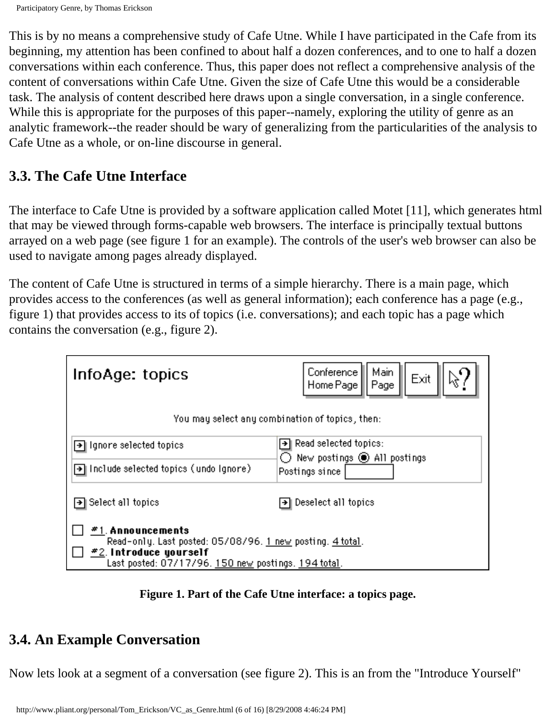This is by no means a comprehensive study of Cafe Utne. While I have participated in the Cafe from its beginning, my attention has been confined to about half a dozen conferences, and to one to half a dozen conversations within each conference. Thus, this paper does not reflect a comprehensive analysis of the content of conversations within Cafe Utne. Given the size of Cafe Utne this would be a considerable task. The analysis of content described here draws upon a single conversation, in a single conference. While this is appropriate for the purposes of this paper--namely, exploring the utility of genre as an analytic framework--the reader should be wary of generalizing from the particularities of the analysis to Cafe Utne as a whole, or on-line discourse in general.

## **3.3. The Cafe Utne Interface**

The interface to Cafe Utne is provided by a software application called Motet [11], which generates html that may be viewed through forms-capable web browsers. The interface is principally textual buttons arrayed on a web page (see figure 1 for an example). The controls of the user's web browser can also be used to navigate among pages already displayed.

The content of Cafe Utne is structured in terms of a simple hierarchy. There is a main page, which provides access to the conferences (as well as general information); each conference has a page (e.g., figure 1) that provides access to its of topics (i.e. conversations); and each topic has a page which contains the conversation (e.g., figure 2).



**Figure 1. Part of the Cafe Utne interface: a topics page.**

## **3.4. An Example Conversation**

Now lets look at a segment of a conversation (see figure 2). This is an from the "Introduce Yourself"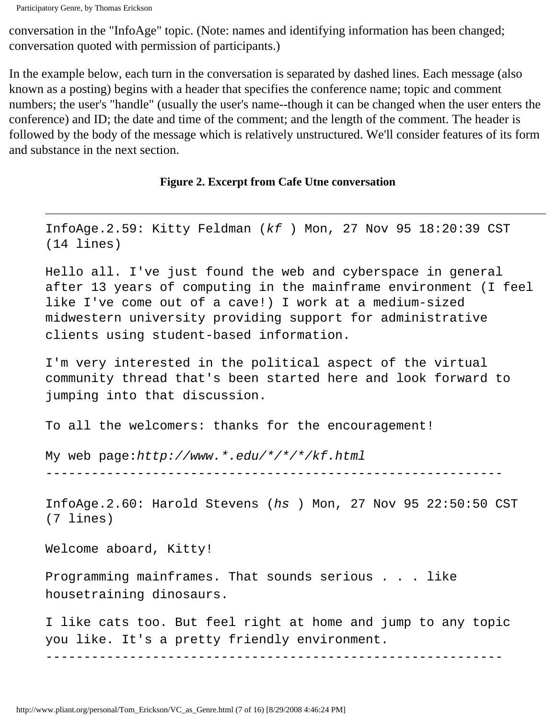Participatory Genre, by Thomas Erickson

conversation in the "InfoAge" topic. (Note: names and identifying information has been changed; conversation quoted with permission of participants.)

In the example below, each turn in the conversation is separated by dashed lines. Each message (also known as a posting) begins with a header that specifies the conference name; topic and comment numbers; the user's "handle" (usually the user's name--though it can be changed when the user enters the conference) and ID; the date and time of the comment; and the length of the comment. The header is followed by the body of the message which is relatively unstructured. We'll consider features of its form and substance in the next section.

#### **Figure 2. Excerpt from Cafe Utne conversation**

InfoAge.2.59: Kitty Feldman (*kf* ) Mon, 27 Nov 95 18:20:39 CST (14 lines)

Hello all. I've just found the web and cyberspace in general after 13 years of computing in the mainframe environment (I feel like I've come out of a cave!) I work at a medium-sized midwestern university providing support for administrative clients using student-based information.

I'm very interested in the political aspect of the virtual community thread that's been started here and look forward to jumping into that discussion.

To all the welcomers: thanks for the encouragement!

My web page:*http://www.\*.edu/\*/\*/\*/kf.html* ------------------------------------------------------------

InfoAge.2.60: Harold Stevens (*hs* ) Mon, 27 Nov 95 22:50:50 CST (7 lines)

Welcome aboard, Kitty!

Programming mainframes. That sounds serious . . . like housetraining dinosaurs.

I like cats too. But feel right at home and jump to any topic you like. It's a pretty friendly environment.

------------------------------------------------------------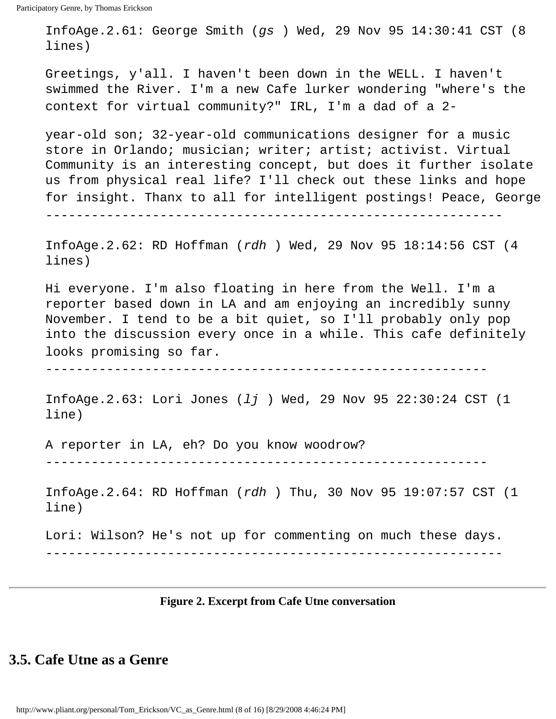InfoAge.2.61: George Smith (*gs* ) Wed, 29 Nov 95 14:30:41 CST (8 lines)

Greetings, y'all. I haven't been down in the WELL. I haven't swimmed the River. I'm a new Cafe lurker wondering "where's the context for virtual community?" IRL, I'm a dad of a 2-

year-old son; 32-year-old communications designer for a music store in Orlando; musician; writer; artist; activist. Virtual Community is an interesting concept, but does it further isolate us from physical real life? I'll check out these links and hope for insight. Thanx to all for intelligent postings! Peace, George

```
------------------------------------------------------------
```
InfoAge.2.62: RD Hoffman (*rdh* ) Wed, 29 Nov 95 18:14:56 CST (4 lines)

Hi everyone. I'm also floating in here from the Well. I'm a reporter based down in LA and am enjoying an incredibly sunny November. I tend to be a bit quiet, so I'll probably only pop into the discussion every once in a while. This cafe definitely looks promising so far.

----------------------------------------------------------

InfoAge.2.63: Lori Jones (*lj* ) Wed, 29 Nov 95 22:30:24 CST (1 line)

A reporter in LA, eh? Do you know woodrow?

----------------------------------------------------------

InfoAge.2.64: RD Hoffman (*rdh* ) Thu, 30 Nov 95 19:07:57 CST (1 line)

Lori: Wilson? He's not up for commenting on much these days.

------------------------------------------------------------

#### **Figure 2. Excerpt from Cafe Utne conversation**

#### **3.5. Cafe Utne as a Genre**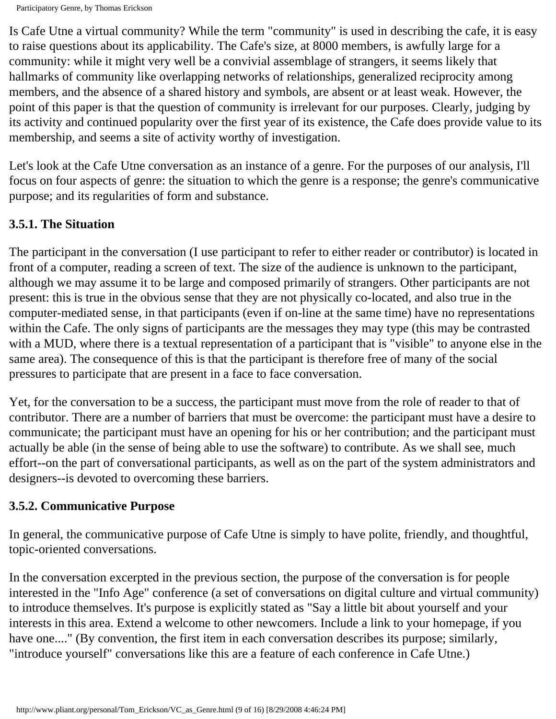Is Cafe Utne a virtual community? While the term "community" is used in describing the cafe, it is easy to raise questions about its applicability. The Cafe's size, at 8000 members, is awfully large for a community: while it might very well be a convivial assemblage of strangers, it seems likely that hallmarks of community like overlapping networks of relationships, generalized reciprocity among members, and the absence of a shared history and symbols, are absent or at least weak. However, the point of this paper is that the question of community is irrelevant for our purposes. Clearly, judging by its activity and continued popularity over the first year of its existence, the Cafe does provide value to its membership, and seems a site of activity worthy of investigation.

Let's look at the Cafe Utne conversation as an instance of a genre. For the purposes of our analysis, I'll focus on four aspects of genre: the situation to which the genre is a response; the genre's communicative purpose; and its regularities of form and substance.

#### **3.5.1. The Situation**

The participant in the conversation (I use participant to refer to either reader or contributor) is located in front of a computer, reading a screen of text. The size of the audience is unknown to the participant, although we may assume it to be large and composed primarily of strangers. Other participants are not present: this is true in the obvious sense that they are not physically co-located, and also true in the computer-mediated sense, in that participants (even if on-line at the same time) have no representations within the Cafe. The only signs of participants are the messages they may type (this may be contrasted with a MUD, where there is a textual representation of a participant that is "visible" to anyone else in the same area). The consequence of this is that the participant is therefore free of many of the social pressures to participate that are present in a face to face conversation.

Yet, for the conversation to be a success, the participant must move from the role of reader to that of contributor. There are a number of barriers that must be overcome: the participant must have a desire to communicate; the participant must have an opening for his or her contribution; and the participant must actually be able (in the sense of being able to use the software) to contribute. As we shall see, much effort--on the part of conversational participants, as well as on the part of the system administrators and designers--is devoted to overcoming these barriers.

#### **3.5.2. Communicative Purpose**

In general, the communicative purpose of Cafe Utne is simply to have polite, friendly, and thoughtful, topic-oriented conversations.

In the conversation excerpted in the previous section, the purpose of the conversation is for people interested in the "Info Age" conference (a set of conversations on digital culture and virtual community) to introduce themselves. It's purpose is explicitly stated as "Say a little bit about yourself and your interests in this area. Extend a welcome to other newcomers. Include a link to your homepage, if you have one...." (By convention, the first item in each conversation describes its purpose; similarly, "introduce yourself" conversations like this are a feature of each conference in Cafe Utne.)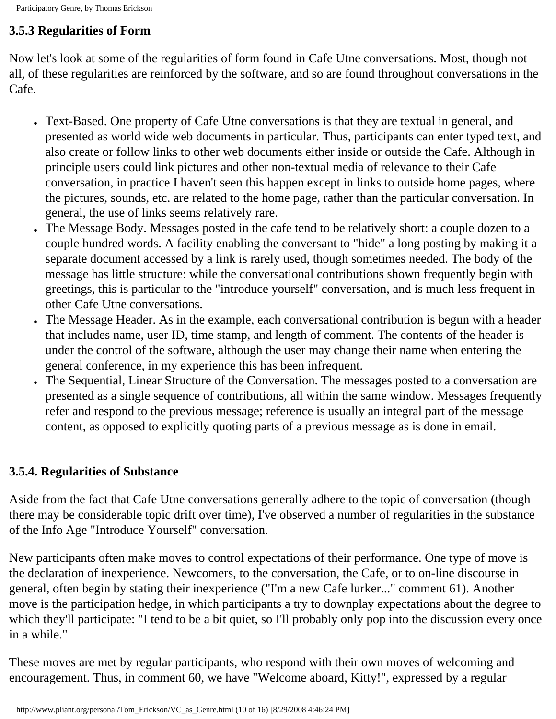Participatory Genre, by Thomas Erickson

#### **3.5.3 Regularities of Form**

Now let's look at some of the regularities of form found in Cafe Utne conversations. Most, though not all, of these regularities are reinforced by the software, and so are found throughout conversations in the Cafe.

- Text-Based. One property of Cafe Utne conversations is that they are textual in general, and presented as world wide web documents in particular. Thus, participants can enter typed text, and also create or follow links to other web documents either inside or outside the Cafe. Although in principle users could link pictures and other non-textual media of relevance to their Cafe conversation, in practice I haven't seen this happen except in links to outside home pages, where the pictures, sounds, etc. are related to the home page, rather than the particular conversation. In general, the use of links seems relatively rare.
- The Message Body. Messages posted in the cafe tend to be relatively short: a couple dozen to a couple hundred words. A facility enabling the conversant to "hide" a long posting by making it a separate document accessed by a link is rarely used, though sometimes needed. The body of the message has little structure: while the conversational contributions shown frequently begin with greetings, this is particular to the "introduce yourself" conversation, and is much less frequent in other Cafe Utne conversations.
- The Message Header. As in the example, each conversational contribution is begun with a header that includes name, user ID, time stamp, and length of comment. The contents of the header is under the control of the software, although the user may change their name when entering the general conference, in my experience this has been infrequent.
- The Sequential, Linear Structure of the Conversation. The messages posted to a conversation are presented as a single sequence of contributions, all within the same window. Messages frequently refer and respond to the previous message; reference is usually an integral part of the message content, as opposed to explicitly quoting parts of a previous message as is done in email.

#### **3.5.4. Regularities of Substance**

Aside from the fact that Cafe Utne conversations generally adhere to the topic of conversation (though there may be considerable topic drift over time), I've observed a number of regularities in the substance of the Info Age "Introduce Yourself" conversation.

New participants often make moves to control expectations of their performance. One type of move is the declaration of inexperience. Newcomers, to the conversation, the Cafe, or to on-line discourse in general, often begin by stating their inexperience ("I'm a new Cafe lurker..." comment 61). Another move is the participation hedge, in which participants a try to downplay expectations about the degree to which they'll participate: "I tend to be a bit quiet, so I'll probably only pop into the discussion every once in a while."

These moves are met by regular participants, who respond with their own moves of welcoming and encouragement. Thus, in comment 60, we have "Welcome aboard, Kitty!", expressed by a regular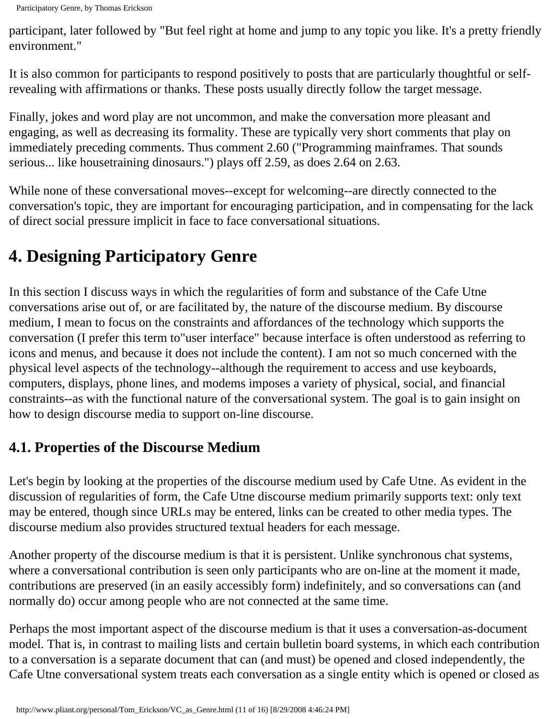participant, later followed by "But feel right at home and jump to any topic you like. It's a pretty friendly environment."

It is also common for participants to respond positively to posts that are particularly thoughtful or selfrevealing with affirmations or thanks. These posts usually directly follow the target message.

Finally, jokes and word play are not uncommon, and make the conversation more pleasant and engaging, as well as decreasing its formality. These are typically very short comments that play on immediately preceding comments. Thus comment 2.60 ("Programming mainframes. That sounds serious... like housetraining dinosaurs.") plays off 2.59, as does 2.64 on 2.63.

While none of these conversational moves--except for welcoming--are directly connected to the conversation's topic, they are important for encouraging participation, and in compensating for the lack of direct social pressure implicit in face to face conversational situations.

# **4. Designing Participatory Genre**

In this section I discuss ways in which the regularities of form and substance of the Cafe Utne conversations arise out of, or are facilitated by, the nature of the discourse medium. By discourse medium, I mean to focus on the constraints and affordances of the technology which supports the conversation (I prefer this term to"user interface" because interface is often understood as referring to icons and menus, and because it does not include the content). I am not so much concerned with the physical level aspects of the technology--although the requirement to access and use keyboards, computers, displays, phone lines, and modems imposes a variety of physical, social, and financial constraints--as with the functional nature of the conversational system. The goal is to gain insight on how to design discourse media to support on-line discourse.

## **4.1. Properties of the Discourse Medium**

Let's begin by looking at the properties of the discourse medium used by Cafe Utne. As evident in the discussion of regularities of form, the Cafe Utne discourse medium primarily supports text: only text may be entered, though since URLs may be entered, links can be created to other media types. The discourse medium also provides structured textual headers for each message.

Another property of the discourse medium is that it is persistent. Unlike synchronous chat systems, where a conversational contribution is seen only participants who are on-line at the moment it made, contributions are preserved (in an easily accessibly form) indefinitely, and so conversations can (and normally do) occur among people who are not connected at the same time.

Perhaps the most important aspect of the discourse medium is that it uses a conversation-as-document model. That is, in contrast to mailing lists and certain bulletin board systems, in which each contribution to a conversation is a separate document that can (and must) be opened and closed independently, the Cafe Utne conversational system treats each conversation as a single entity which is opened or closed as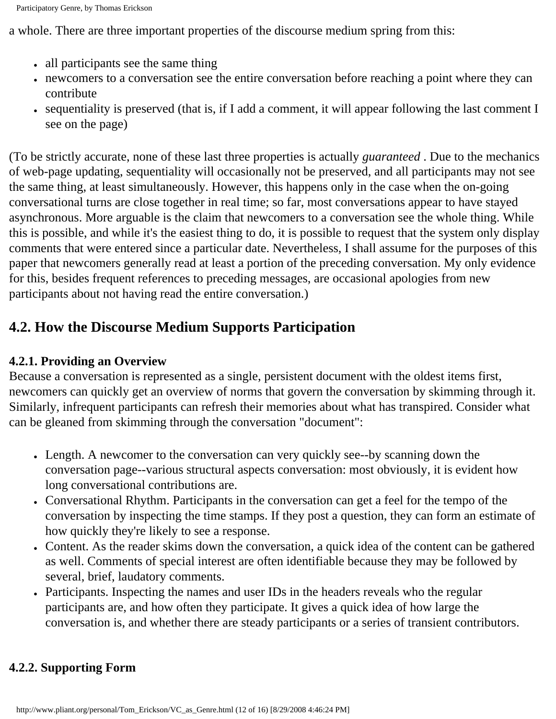a whole. There are three important properties of the discourse medium spring from this:

- all participants see the same thing
- newcomers to a conversation see the entire conversation before reaching a point where they can contribute
- sequentiality is preserved (that is, if I add a comment, it will appear following the last comment I see on the page)

(To be strictly accurate, none of these last three properties is actually *guaranteed* . Due to the mechanics of web-page updating, sequentiality will occasionally not be preserved, and all participants may not see the same thing, at least simultaneously. However, this happens only in the case when the on-going conversational turns are close together in real time; so far, most conversations appear to have stayed asynchronous. More arguable is the claim that newcomers to a conversation see the whole thing. While this is possible, and while it's the easiest thing to do, it is possible to request that the system only display comments that were entered since a particular date. Nevertheless, I shall assume for the purposes of this paper that newcomers generally read at least a portion of the preceding conversation. My only evidence for this, besides frequent references to preceding messages, are occasional apologies from new participants about not having read the entire conversation.)

## **4.2. How the Discourse Medium Supports Participation**

#### **4.2.1. Providing an Overview**

Because a conversation is represented as a single, persistent document with the oldest items first, newcomers can quickly get an overview of norms that govern the conversation by skimming through it. Similarly, infrequent participants can refresh their memories about what has transpired. Consider what can be gleaned from skimming through the conversation "document":

- Length. A newcomer to the conversation can very quickly see--by scanning down the conversation page--various structural aspects conversation: most obviously, it is evident how long conversational contributions are.
- Conversational Rhythm. Participants in the conversation can get a feel for the tempo of the conversation by inspecting the time stamps. If they post a question, they can form an estimate of how quickly they're likely to see a response.
- Content. As the reader skims down the conversation, a quick idea of the content can be gathered as well. Comments of special interest are often identifiable because they may be followed by several, brief, laudatory comments.
- Participants. Inspecting the names and user IDs in the headers reveals who the regular participants are, and how often they participate. It gives a quick idea of how large the conversation is, and whether there are steady participants or a series of transient contributors.

### **4.2.2. Supporting Form**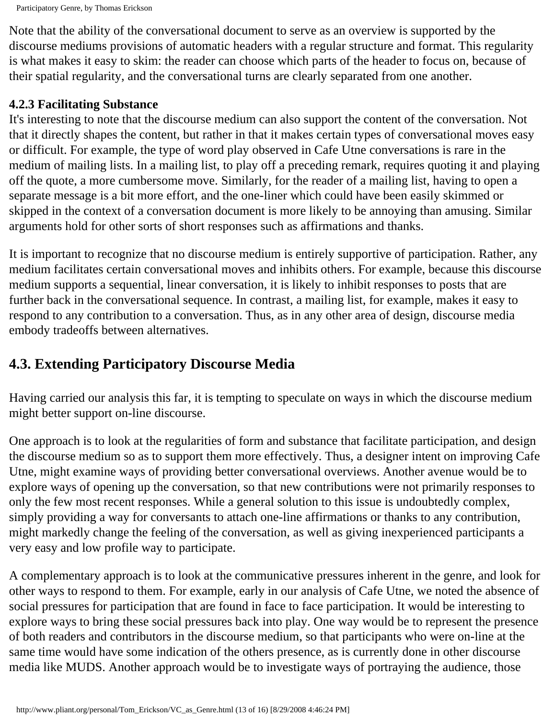Note that the ability of the conversational document to serve as an overview is supported by the discourse mediums provisions of automatic headers with a regular structure and format. This regularity is what makes it easy to skim: the reader can choose which parts of the header to focus on, because of their spatial regularity, and the conversational turns are clearly separated from one another.

#### **4.2.3 Facilitating Substance**

It's interesting to note that the discourse medium can also support the content of the conversation. Not that it directly shapes the content, but rather in that it makes certain types of conversational moves easy or difficult. For example, the type of word play observed in Cafe Utne conversations is rare in the medium of mailing lists. In a mailing list, to play off a preceding remark, requires quoting it and playing off the quote, a more cumbersome move. Similarly, for the reader of a mailing list, having to open a separate message is a bit more effort, and the one-liner which could have been easily skimmed or skipped in the context of a conversation document is more likely to be annoying than amusing. Similar arguments hold for other sorts of short responses such as affirmations and thanks.

It is important to recognize that no discourse medium is entirely supportive of participation. Rather, any medium facilitates certain conversational moves and inhibits others. For example, because this discourse medium supports a sequential, linear conversation, it is likely to inhibit responses to posts that are further back in the conversational sequence. In contrast, a mailing list, for example, makes it easy to respond to any contribution to a conversation. Thus, as in any other area of design, discourse media embody tradeoffs between alternatives.

## **4.3. Extending Participatory Discourse Media**

Having carried our analysis this far, it is tempting to speculate on ways in which the discourse medium might better support on-line discourse.

One approach is to look at the regularities of form and substance that facilitate participation, and design the discourse medium so as to support them more effectively. Thus, a designer intent on improving Cafe Utne, might examine ways of providing better conversational overviews. Another avenue would be to explore ways of opening up the conversation, so that new contributions were not primarily responses to only the few most recent responses. While a general solution to this issue is undoubtedly complex, simply providing a way for conversants to attach one-line affirmations or thanks to any contribution, might markedly change the feeling of the conversation, as well as giving inexperienced participants a very easy and low profile way to participate.

A complementary approach is to look at the communicative pressures inherent in the genre, and look for other ways to respond to them. For example, early in our analysis of Cafe Utne, we noted the absence of social pressures for participation that are found in face to face participation. It would be interesting to explore ways to bring these social pressures back into play. One way would be to represent the presence of both readers and contributors in the discourse medium, so that participants who were on-line at the same time would have some indication of the others presence, as is currently done in other discourse media like MUDS. Another approach would be to investigate ways of portraying the audience, those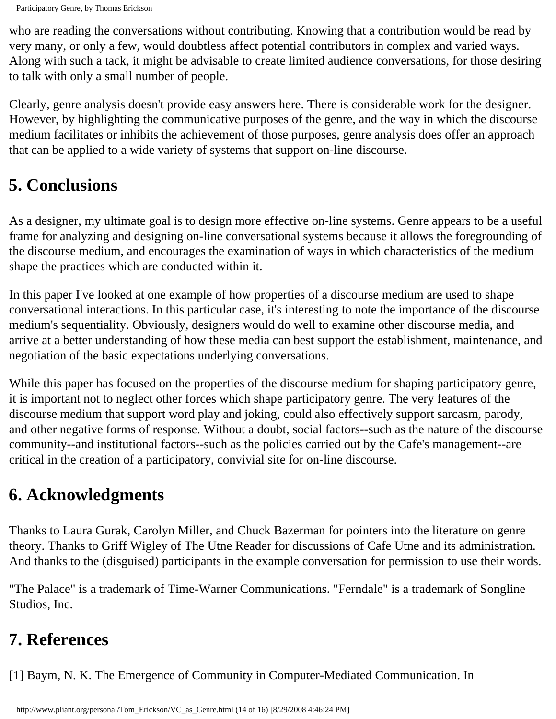who are reading the conversations without contributing. Knowing that a contribution would be read by very many, or only a few, would doubtless affect potential contributors in complex and varied ways. Along with such a tack, it might be advisable to create limited audience conversations, for those desiring to talk with only a small number of people.

Clearly, genre analysis doesn't provide easy answers here. There is considerable work for the designer. However, by highlighting the communicative purposes of the genre, and the way in which the discourse medium facilitates or inhibits the achievement of those purposes, genre analysis does offer an approach that can be applied to a wide variety of systems that support on-line discourse.

# **5. Conclusions**

As a designer, my ultimate goal is to design more effective on-line systems. Genre appears to be a useful frame for analyzing and designing on-line conversational systems because it allows the foregrounding of the discourse medium, and encourages the examination of ways in which characteristics of the medium shape the practices which are conducted within it.

In this paper I've looked at one example of how properties of a discourse medium are used to shape conversational interactions. In this particular case, it's interesting to note the importance of the discourse medium's sequentiality. Obviously, designers would do well to examine other discourse media, and arrive at a better understanding of how these media can best support the establishment, maintenance, and negotiation of the basic expectations underlying conversations.

While this paper has focused on the properties of the discourse medium for shaping participatory genre, it is important not to neglect other forces which shape participatory genre. The very features of the discourse medium that support word play and joking, could also effectively support sarcasm, parody, and other negative forms of response. Without a doubt, social factors--such as the nature of the discourse community--and institutional factors--such as the policies carried out by the Cafe's management--are critical in the creation of a participatory, convivial site for on-line discourse.

# **6. Acknowledgments**

Thanks to Laura Gurak, Carolyn Miller, and Chuck Bazerman for pointers into the literature on genre theory. Thanks to Griff Wigley of The Utne Reader for discussions of Cafe Utne and its administration. And thanks to the (disguised) participants in the example conversation for permission to use their words.

"The Palace" is a trademark of Time-Warner Communications. "Ferndale" is a trademark of Songline Studios, Inc.

# **7. References**

[1] Baym, N. K. The Emergence of Community in Computer-Mediated Communication. In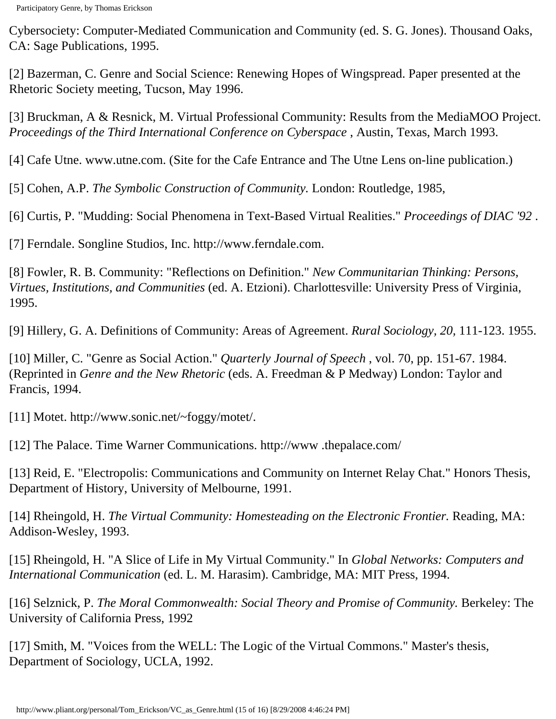Cybersociety: Computer-Mediated Communication and Community (ed. S. G. Jones). Thousand Oaks, CA: Sage Publications, 1995.

[2] Bazerman, C. Genre and Social Science: Renewing Hopes of Wingspread. Paper presented at the Rhetoric Society meeting, Tucson, May 1996.

[3] Bruckman, A & Resnick, M. Virtual Professional Community: Results from the MediaMOO Project. *Proceedings of the Third International Conference on Cyberspace* , Austin, Texas, March 1993.

[4] Cafe Utne. www.utne.com. (Site for the Cafe Entrance and The Utne Lens on-line publication.)

[5] Cohen, A.P. *The Symbolic Construction of Community.* London: Routledge, 1985,

[6] Curtis, P. "Mudding: Social Phenomena in Text-Based Virtual Realities." *Proceedings of DIAC '92* .

[7] Ferndale. Songline Studios, Inc. http://www.ferndale.com.

[8] Fowler, R. B. Community: "Reflections on Definition." *New Communitarian Thinking: Persons, Virtues, Institutions, and Communities* (ed. A. Etzioni). Charlottesville: University Press of Virginia, 1995.

[9] Hillery, G. A. Definitions of Community: Areas of Agreement. *Rural Sociology, 20,* 111-123. 1955.

[10] Miller, C. "Genre as Social Action." *Quarterly Journal of Speech* , vol. 70, pp. 151-67. 1984. (Reprinted in *Genre and the New Rhetoric* (eds. A. Freedman & P Medway) London: Taylor and Francis, 1994.

[11] Motet. http://www.sonic.net/~foggy/motet/.

[12] The Palace. Time Warner Communications. http://www .thepalace.com/

[13] Reid, E. "Electropolis: Communications and Community on Internet Relay Chat." Honors Thesis, Department of History, University of Melbourne, 1991.

[14] Rheingold, H. *The Virtual Community: Homesteading on the Electronic Frontier*. Reading, MA: Addison-Wesley, 1993.

[15] Rheingold, H. "A Slice of Life in My Virtual Community." In *Global Networks: Computers and International Communication* (ed. L. M. Harasim). Cambridge, MA: MIT Press, 1994.

[16] Selznick, P. *The Moral Commonwealth: Social Theory and Promise of Community.* Berkeley: The University of California Press, 1992

[17] Smith, M. "Voices from the WELL: The Logic of the Virtual Commons." Master's thesis, Department of Sociology, UCLA, 1992.